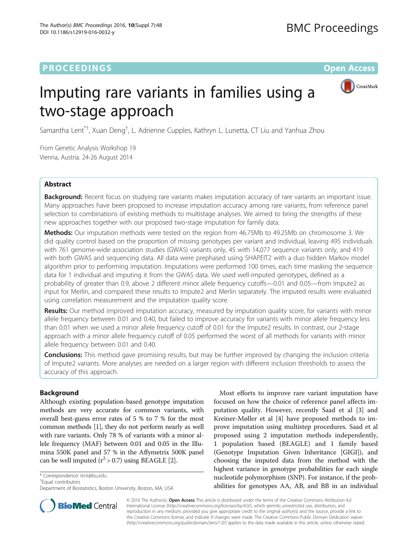# **PROCEEDINGS STATE ACCESS CONSUMING S** Open Access



# Imputing rare variants in families using a two-stage approach

Samantha Lent<sup>\*†</sup>, Xuan Deng<sup>†</sup>, L. Adrienne Cupples, Kathryn L. Lunetta, CT Liu and Yanhua Zhou

From Genetic Analysis Workshop 19 Vienna, Austria. 24-26 August 2014

# Abstract

Background: Recent focus on studying rare variants makes imputation accuracy of rare variants an important issue. Many approaches have been proposed to increase imputation accuracy among rare variants, from reference panel selection to combinations of existing methods to multistage analyses. We aimed to bring the strengths of these new approaches together with our proposed two-stage imputation for family data.

Methods: Our imputation methods were tested on the region from 46.75Mb to 49.25Mb on chromosome 3. We did quality control based on the proportion of missing genotypes per variant and individual, leaving 495 individuals with 761 genome-wide association studies (GWAS) variants only, 45 with 14,077 sequence variants only, and 419 with both GWAS and sequencing data. All data were prephased using SHAPEIT2 with a duo hidden Markov model algorithm prior to performing imputation. Imputations were performed 100 times, each time masking the sequence data for 1 individual and imputing it from the GWAS data. We used well-imputed genotypes, defined as a probability of greater than 0.9, above 2 different minor allele frequency cutoffs—0.01 and 0.05—from Impute2 as input for Merlin, and compared these results to Impute2 and Merlin separately. The imputed results were evaluated using correlation measurement and the imputation quality score.

Results: Our method improved imputation accuracy, measured by imputation quality score, for variants with minor allele frequency between 0.01 and 0.40, but failed to improve accuracy for variants with minor allele frequency less than 0.01 when we used a minor allele frequency cutoff of 0.01 for the Impute2 results. In contrast, our 2-stage approach with a minor allele frequency cutoff of 0.05 performed the worst of all methods for variants with minor allele frequency between 0.01 and 0.40.

**Conclusions:** This method gave promising results, but may be further improved by changing the inclusion criteria of Impute2 variants. More analyses are needed on a larger region with different inclusion thresholds to assess the accuracy of this approach.

# Background

Although existing population-based genotype imputation methods are very accurate for common variants, with overall best-guess error rates of 5 % to 7 % for the most common methods [[1](#page-4-0)], they do not perform nearly as well with rare variants. Only 78 % of variants with a minor allele frequency (MAF) between 0.01 and 0.05 in the Illumina 550K panel and 57 % in the Affymetrix 500K panel can be well imputed  $(r^2 > 0.7)$  using BEAGLE [[2\]](#page-4-0).

\* Correspondence: [lent@bu.edu](mailto:lent@bu.edu) †

Equal contributors

Most efforts to improve rare variant imputation have focused on how the choice of reference panel affects imputation quality. However, recently Saad et al [[3](#page-4-0)] and Kreiner-Møller et al [\[4\]](#page-4-0) have proposed methods to improve imputation using multistep procedures. Saad et al proposed using 2 imputation methods independently, 1 population based (BEAGLE) and 1 family based (Genotype Imputation Given Inheritance [GIGI]), and choosing the imputed data from the method with the highest variance in genotype probabilities for each single nucleotide polymorphism (SNP). For instance, if the probabilities for genotypes AA, AB, and BB in an individual



© 2016 The Author(s). Open Access This article is distributed under the terms of the Creative Commons Attribution 4.0 International License [\(http://creativecommons.org/licenses/by/4.0/](http://creativecommons.org/licenses/by/4.0/)), which permits unrestricted use, distribution, and reproduction in any medium, provided you give appropriate credit to the original author(s) and the source, provide a link to the Creative Commons license, and indicate if changes were made. The Creative Commons Public Domain Dedication waiver [\(http://creativecommons.org/publicdomain/zero/1.0/](http://creativecommons.org/publicdomain/zero/1.0/)) applies to the data made available in this article, unless otherwise stated.

Department of Biostatistics, Boston University, Boston, MA, USA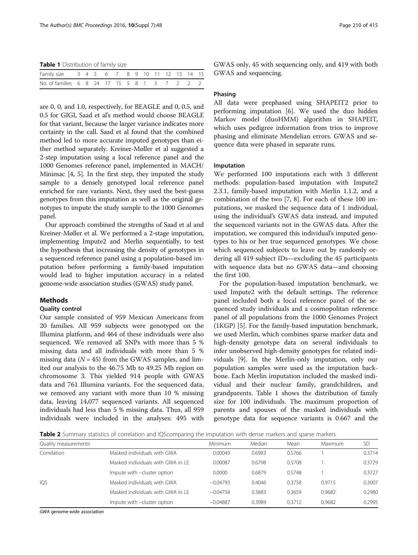<span id="page-1-0"></span>Table 1 Distribution of family size

| Family size 3 4 5 6 7 8 9 10 11 12 13 14 15  |  |  |  |  |  |  |  |
|----------------------------------------------|--|--|--|--|--|--|--|
| No. of families 6 8 24 17 15 5 8 1 3 7 2 2 2 |  |  |  |  |  |  |  |

are 0, 0, and 1.0, respectively, for BEAGLE and 0, 0.5, and 0.5 for GIGI, Saad et al's method would choose BEAGLE for that variant, because the larger variance indicates more certainty in the call. Saad et al found that the combined method led to more accurate imputed genotypes than either method separately. Kreiner-Møller et al suggested a 2-step imputation using a local reference panel and the 1000 Genomes reference panel, implemented in MACH/ Minimac [[4](#page-4-0), [5](#page-4-0)]. In the first step, they imputed the study sample to a densely genotyped local reference panel enriched for rare variants. Next, they used the best-guess genotypes from this imputation as well as the original genotypes to impute the study sample to the 1000 Genomes panel.

Our approach combined the strengths of Saad et al and Kreiner-Møller et al. We performed a 2-stage imputation, implementing Impute2 and Merlin sequentially, to test the hypothesis that increasing the density of genotypes in a sequenced reference panel using a population-based imputation before performing a family-based imputation would lead to higher imputation accuracy in a related genome-wide association studies (GWAS) study panel.

## **Methods**

## Quality control

Our sample consisted of 959 Mexican Americans from 20 families. All 959 subjects were genotyped on the Illumina platform, and 464 of these individuals were also sequenced. We removed all SNPs with more than 5 % missing data and all individuals with more than 5 % missing data ( $N = 45$ ) from the GWAS samples, and limited our analysis to the 46.75 Mb to 49.25 Mb region on chromosome 3. This yielded 914 people with GWAS data and 761 Illumina variants. For the sequenced data, we removed any variant with more than 10 % missing data, leaving 14,077 sequenced variants. All sequenced individuals had less than 5 % missing data. Thus, all 959 individuals were included in the analyses: 495 with GWAS only, 45 with sequencing only, and 419 with both GWAS and sequencing.

### Phasing

All data were prephased using SHAPEIT2 prior to performing imputation [\[6](#page-5-0)]. We used the duo hidden Markov model (duoHMM) algorithm in SHAPEIT, which uses pedigree information from trios to improve phasing and eliminate Mendelian errors. GWAS and sequence data were phased in separate runs.

#### Imputation

We performed 100 imputations each with 3 different methods: population-based imputation with Impute2 2.3.1, family-based imputation with Merlin 1.1.2, and a combination of the two [\[7](#page-5-0), [8](#page-5-0)]. For each of these 100 imputations, we masked the sequence data of 1 individual, using the individual's GWAS data instead, and imputed the sequenced variants not in the GWAS data. After the imputation, we compared this individual's imputed genotypes to his or her true sequenced genotypes. We chose which sequenced subjects to leave out by randomly ordering all 419 subject IDs—excluding the 45 participants with sequence data but no GWAS data—and choosing the first 100.

For the population-based imputation benchmark, we used Impute2 with the default settings. The reference panel included both a local reference panel of the sequenced study individuals and a cosmopolitan reference panel of all populations from the 1000 Genomes Project (1KGP) [[5](#page-4-0)]. For the family-based imputation benchmark, we used Merlin, which combines sparse marker data and high-density genotype data on several individuals to infer unobserved high-density genotypes for related individuals [\[9](#page-5-0)]. In the Merlin-only imputation, only our population samples were used as the imputation backbone. Each Merlin imputation included the masked individual and their nuclear family, grandchildren, and grandparents. Table 1 shows the distribution of family size for 100 individuals. The maximum proportion of parents and spouses of the masked individuals with genotype data for sequence variants is 0.667 and the

Table 2 Summary statistics of correlation and IQScomparing the imputation with dense markers and sparse markers

|                                   | <b>Minimum</b> | Median | Mean   | Maximum | <b>SD</b> |
|-----------------------------------|----------------|--------|--------|---------|-----------|
| Masked individuals with GWA       | 0.00049        | 0.6983 | 0.5766 |         | 0.3714    |
| Masked individuals with GWA in LF | 0.00087        | 0.6798 | 0.5708 |         | 0.3729    |
| Impute with -cluster option       | 0.0000         | 0.6879 | 0.5748 |         | 0.3727    |
| Masked individuals with GWA       | $-0.04793$     | 0.4046 | 0.3758 | 0.9715  | 0.3007    |
| Masked individuals with GWA in LE | $-0.04758$     | 0.3883 | 0.3659 | 0.9682  | 0.2980    |
| Impute with -cluster option       | $-0.04887$     | 0.3989 | 0.3712 | 0.9682  | 0.2995    |
|                                   |                |        |        |         |           |

GWA genome-wide association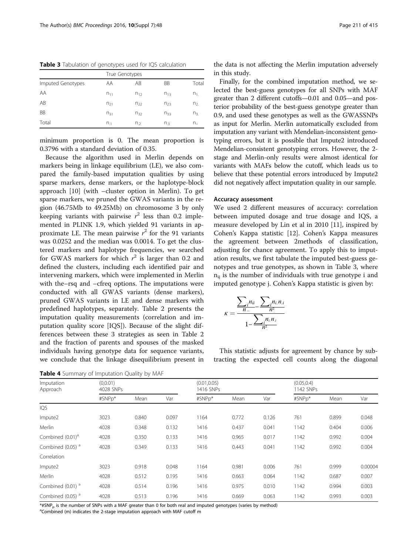| True Genotypes    |                |          |          |                |  |  |  |  |
|-------------------|----------------|----------|----------|----------------|--|--|--|--|
| Imputed Genotypes | AA             | AB       | BB       | Total          |  |  |  |  |
| AA                | $n_{11}$       | $n_{12}$ | $n_{13}$ | $n_{1}$        |  |  |  |  |
| AB                | $n_{21}$       | $n_{22}$ | $n_{23}$ | n <sub>2</sub> |  |  |  |  |
| <b>BB</b>         | $n_{31}$       | $n_{32}$ | $n_{33}$ | n <sub>3</sub> |  |  |  |  |
| Total             | n <sub>1</sub> | $n_{2}$  | $n_3$    | n.,            |  |  |  |  |

<span id="page-2-0"></span>Table 3 Tabulation of genotypes used for IQS calculation

minimum proportion is 0. The mean proportion is 0.3796 with a standard deviation of 0.35.

Because the algorithm used in Merlin depends on markers being in linkage equilibrium (LE), we also compared the family-based imputation qualities by using sparse markers, dense markers, or the haplotype-block approach [[10\]](#page-5-0) (with –cluster option in Merlin). To get sparse markers, we pruned the GWAS variants in the region (46.75Mb to 49.25Mb) on chromosome 3 by only keeping variants with pairwise  $r^2$  less than 0.2 implemented in PLINK 1.9, which yielded 91 variants in approximate LE. The mean pairwise  $r^2$  for the 91 variants was 0.0252 and the median was 0.0014. To get the clustered markers and haplotype frequencies, we searched for GWAS markers for which  $r^2$  is larger than 0.2 and defined the clusters, including each identified pair and intervening markers, which were implemented in Merlin with the–rsq and –cfreq options. The imputations were conducted with all GWAS variants (dense markers), pruned GWAS variants in LE and dense markers with predefined haplotypes, separately. Table [2](#page-1-0) presents the imputation quality measurements (correlation and imputation quality score [IQS]). Because of the slight differences between these 3 strategies as seen in Table [2](#page-1-0) and the fraction of parents and spouses of the masked individuals having genotype data for sequence variants, we conclude that the linkage disequilibrium present in

| Imputation<br>Approach       | (0,0.01)<br>4028 SNPs |       |       | (0.01, 0.05)<br>1416 SNPs |       |       | (0.05, 0.4)<br>1142 SNPs |       |         |
|------------------------------|-----------------------|-------|-------|---------------------------|-------|-------|--------------------------|-------|---------|
|                              | #SNPp*                | Mean  | Var   | #SNPp*                    | Mean  | Var   | #SNPp*                   | Mean  | Var     |
| IQS                          |                       |       |       |                           |       |       |                          |       |         |
| Impute2                      | 3023                  | 0.840 | 0.097 | 1164                      | 0.772 | 0.126 | 761                      | 0.899 | 0.048   |
| Merlin                       | 4028                  | 0.348 | 0.132 | 1416                      | 0.437 | 0.041 | 1142                     | 0.404 | 0.006   |
| Combined (0.01) <sup>a</sup> | 4028                  | 0.350 | 0.133 | 1416                      | 0.965 | 0.017 | 1142                     | 0.992 | 0.004   |
| Combined (0.05) <sup>a</sup> | 4028                  | 0.349 | 0.133 | 1416                      | 0.443 | 0.041 | 1142                     | 0.992 | 0.004   |
| Correlation                  |                       |       |       |                           |       |       |                          |       |         |
| Impute2                      | 3023                  | 0.918 | 0.048 | 1164                      | 0.981 | 0.006 | 761                      | 0.999 | 0.00004 |
| Merlin                       | 4028                  | 0.512 | 0.195 | 1416                      | 0.663 | 0.064 | 1142                     | 0.687 | 0.007   |
| Combined (0.01) <sup>a</sup> | 4028                  | 0.514 | 0.196 | 1416                      | 0.975 | 0.010 | 1142                     | 0.994 | 0.003   |
| Combined (0.05) <sup>a</sup> | 4028                  | 0.513 | 0.196 | 1416                      | 0.669 | 0.063 | 1142                     | 0.993 | 0.003   |

|  |  | Table 4 Summary of Imputation Quality by MAF |  |  |
|--|--|----------------------------------------------|--|--|
|--|--|----------------------------------------------|--|--|

 $*$ #SNP<sub>p</sub> is the number of SNPs with a MAF greater than 0 for both real and imputed genotypes (varies by method)

<sup>a</sup>Combined (m) indicates the 2-stage imputation approach with MAF cutoff m

the data is not affecting the Merlin imputation adversely in this study.

Finally, for the combined imputation method, we selected the best-guess genotypes for all SNPs with MAF greater than 2 different cutoffs—0.01 and 0.05—and posterior probability of the best-guess genotype greater than 0.9, and used these genotypes as well as the GWASSNPs as input for Merlin. Merlin automatically excluded from imputation any variant with Mendelian-inconsistent genotyping errors, but it is possible that Impute2 introduced Mendelian-consistent genotyping errors. However, the 2 stage and Merlin-only results were almost identical for variants with MAFs below the cutoff, which leads us to believe that these potential errors introduced by Impute2 did not negatively affect imputation quality in our sample.

#### Accuracy assessment

We used 2 different measures of accuracy: correlation between imputed dosage and true dosage and IQS, a measure developed by Lin et al in 2010 [[11](#page-5-0)], inspired by Cohen's Kappa statistic [\[12](#page-5-0)]. Cohen's Kappa measures the agreement between 2methods of classification, adjusting for chance agreement. To apply this to imputation results, we first tabulate the imputed best-guess genotypes and true genotypes, as shown in Table 3, where  $n_{ii}$  is the number of individuals with true genotype i and imputed genotype j. Cohen's Kappa statistic is given by:

$$
\kappa = \frac{\sum_{i} n_{ii}}{1 - \frac{\sum_{i} n_{i} n_{.i}}{n^2}}}{1 - \frac{\sum_{i} n_{i} n_{.i}}{n^2}}
$$

This statistic adjusts for agreement by chance by subtracting the expected cell counts along the diagonal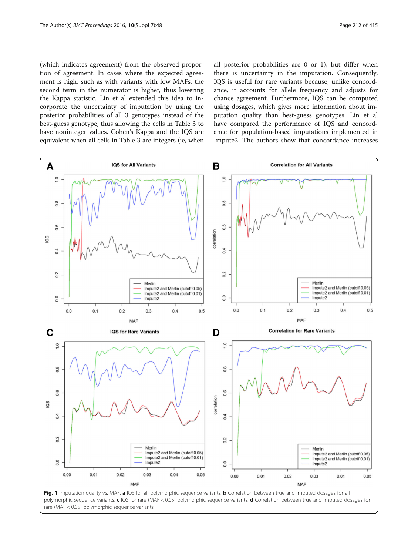<span id="page-3-0"></span>(which indicates agreement) from the observed proportion of agreement. In cases where the expected agreement is high, such as with variants with low MAFs, the second term in the numerator is higher, thus lowering the Kappa statistic. Lin et al extended this idea to incorporate the uncertainty of imputation by using the posterior probabilities of all 3 genotypes instead of the best-guess genotype, thus allowing the cells in Table [3](#page-2-0) to have noninteger values. Cohen's Kappa and the IQS are equivalent when all cells in Table [3](#page-2-0) are integers (ie, when all posterior probabilities are 0 or 1), but differ when there is uncertainty in the imputation. Consequently, IQS is useful for rare variants because, unlike concordance, it accounts for allele frequency and adjusts for chance agreement. Furthermore, IQS can be computed using dosages, which gives more information about imputation quality than best-guess genotypes. Lin et al have compared the performance of IQS and concordance for population-based imputations implemented in Impute2. The authors show that concordance increases



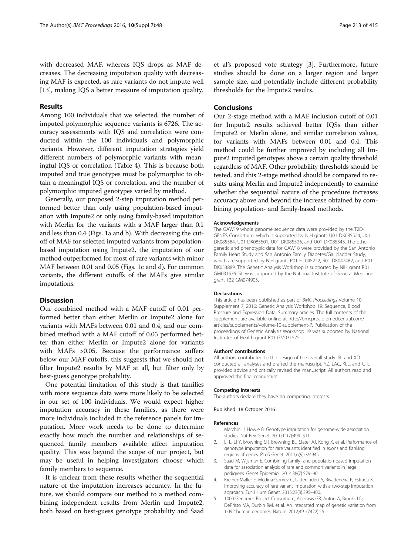<span id="page-4-0"></span>with decreased MAF, whereas IQS drops as MAF decreases. The decreasing imputation quality with decreasing MAF is expected, as rare variants do not impute well [[13\]](#page-5-0), making IQS a better measure of imputation quality.

#### Results

Among 100 individuals that we selected, the number of imputed polymorphic sequence variants is 6726. The accuracy assessments with IQS and correlation were conducted within the 100 individuals and polymorphic variants. However, different imputation strategies yield different numbers of polymorphic variants with meaningful IQS or correlation (Table [4\)](#page-2-0). This is because both imputed and true genotypes must be polymorphic to obtain a meaningful IQS or correlation, and the number of polymorphic imputed genotypes varied by method.

Generally, our proposed 2-step imputation method performed better than only using population-based imputation with Impute2 or only using family-based imputation with Merlin for the variants with a MAF larger than 0.1 and less than 0.4 (Figs. [1a and b\)](#page-3-0). With decreasing the cutoff of MAF for selected imputed variants from populationbased imputation using Impute2, the imputation of our method outperformed for most of rare variants with minor MAF between 0.01 and 0.05 (Figs. [1c and d](#page-3-0)). For common variants, the different cutoffs of the MAFs give similar imputations.

## Discussion

Our combined method with a MAF cutoff of 0.01 performed better than either Merlin or Impute2 alone for variants with MAFs between 0.01 and 0.4, and our combined method with a MAF cutoff of 0.05 performed better than either Merlin or Impute2 alone for variants with MAFs >0.05. Because the performance suffers below our MAF cutoffs, this suggests that we should not filter Impute2 results by MAF at all, but filter only by best-guess genotype probability.

One potential limitation of this study is that families with more sequence data were more likely to be selected in our set of 100 individuals. We would expect higher imputation accuracy in these families, as there were more individuals included in the reference panels for imputation. More work needs to be done to determine exactly how much the number and relationships of sequenced family members available affect imputation quality. This was beyond the scope of our project, but may be useful in helping investigators choose which family members to sequence.

It is unclear from these results whether the sequential nature of the imputation increases accuracy. In the future, we should compare our method to a method combining independent results from Merlin and Impute2, both based on best-guess genotype probability and Saad et al's proposed vote strategy [3]. Furthermore, future studies should be done on a larger region and larger sample size, and potentially include different probability thresholds for the Impute2 results.

## Conclusions

Our 2-stage method with a MAF inclusion cutoff of 0.01 for Impute2 results achieved better IQSs than either Impute2 or Merlin alone, and similar correlation values, for variants with MAFs between 0.01 and 0.4. This method could be further improved by including all Impute2 imputed genotypes above a certain quality threshold regardless of MAF. Other probability thresholds should be tested, and this 2-stage method should be compared to results using Merlin and Impute2 independently to examine whether the sequential nature of the procedure increases accuracy above and beyond the increase obtained by combining population- and family-based methods.

#### Acknowledgements

The GAW19 whole genome sequence data were provided by the T2D-GENES Consortium, which is supported by NIH grants U01 DK085524, U01 DK085584, U01 DK085501, U01 DK085526, and U01 DK085545. The other genetic and phenotypic data for GAW18 were provided by the San Antonio Family Heart Study and San Antonio Family Diabetes/Gallbladder Study, which are supported by NIH grants P01 HL045222, R01 DK047482, and R01 DK053889. The Genetic Analysis Workshop is supported by NIH grant R01 GM031575. SL was supported by the National Institute of General Medicine grant T32 GM074905.

#### Declarations

This article has been published as part of BMC Proceedings Volume 10 Supplement 7, 2016: Genetic Analysis Workshop 19: Sequence, Blood Pressure and Expression Data. Summary articles. The full contents of the supplement are available online at [http://bmcproc.biomedcentral.com/](http://bmcproc.biomedcentral.com/articles/supplements/volume-10-supplement-7) [articles/supplements/volume-10-supplement-7.](http://bmcproc.biomedcentral.com/articles/supplements/volume-10-supplement-7) Publication of the proceedings of Genetic Analysis Workshop 19 was supported by National Institutes of Health grant R01 GM031575.

#### Authors' contributions

All authors contributed to the design of the overall study. SL and XD conducted all analyses and drafted the manuscript. YZ, LAC, KLL, and CTL provided advice and critically revised the manuscript. All authors read and approved the final manuscript.

#### Competing interests

The authors declare they have no competing interests.

### Published: 18 October 2016

#### References

- 1. Marchini J, Howie B. Genotype imputation for genome-wide association studies. Nat Rev Genet. 2010;11(7):499–511.
- 2. Li L, Li Y, Browning SR, Browning BL, Slater AJ, Kong X, et al. Performance of genotype imputation for rare variants identified in exons and flanking regions of genes. PLoS Genet. 2011;6(9):e24945.
- 3. Saad M, Wijsman E. Combining family- and population-based imputation data for association analysis of rare and common variants in large pedigrees. Genet Epidemiol. 2014;38(7):579–90.
- 4. Kreiner-Møller E, Medina-Gomez C, Uitterlinden A, Rivadeneira F, Estrada K. Improving accuracy of rare variant imputation with a two-step imputation approach. Eur J Hum Genet. 2015;23(3):395–400.
- 5. 1000 Genomes Project Consortium, Abecasis GR, Auton A, Brooks LD, DePristo MA, Durbin RM, et al. An integrated map of genetic variation from 1,092 human genomes. Nature. 2012;491(7422):56.